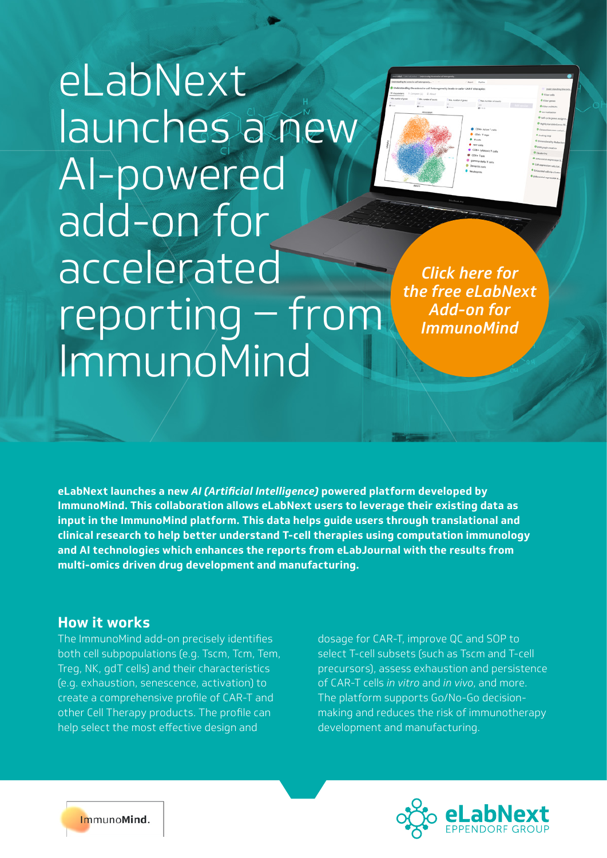# eLabNext launches a new AI-powered add-on for accelerated reporting – from ImmunoMind

*Click here for the free eLabNext Add-on for ImmunoMind*

**eLabNext launches a new** *AI (Artificial Intelligence)* **powered platform developed by ImmunoMind. This collaboration allows eLabNext users to leverage their existing data as input in the ImmunoMind platform. This data helps guide users through translational and clinical research to help better understand T-cell therapies using computation immunology and AI technologies which enhances the reports from eLabJournal with the results from multi-omics driven drug development and manufacturing.**

## **How it works**

The ImmunoMind add-on precisely identifies both cell subpopulations (e.g. Tscm, Tcm, Tem, Treg, NK, gdT cells) and their characteristics (e.g. exhaustion, senescence, activation) to create a comprehensive profile of CAR-T and other Cell Therapy products. The profile can help select the most effective design and

dosage for CAR-T, improve QC and SOP to select T-cell subsets (such as Tscm and T-cell precursors), assess exhaustion and persistence of CAR-T cells *in vitro* and *in vivo*, and more. The platform supports Go/No-Go decisionmaking and reduces the risk of immunotherapy development and manufacturing.



ImmunoMind.